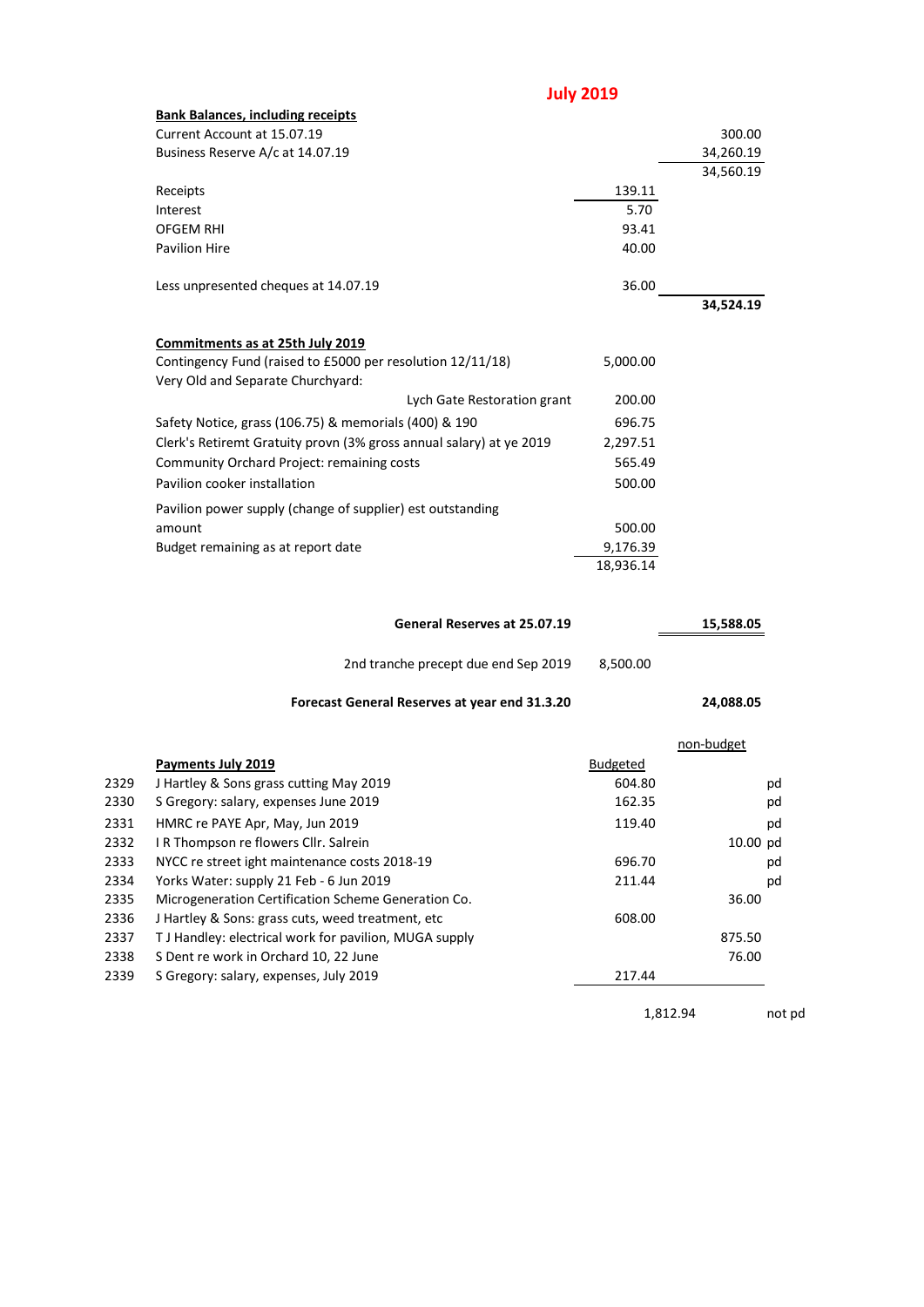## **July 2019**

| <b>Bank Balances, including receipts</b>                            |           |           |
|---------------------------------------------------------------------|-----------|-----------|
| Current Account at 15.07.19                                         |           | 300.00    |
| Business Reserve A/c at 14.07.19                                    |           | 34,260.19 |
|                                                                     |           | 34,560.19 |
| Receipts                                                            | 139.11    |           |
| Interest                                                            | 5.70      |           |
| <b>OFGEM RHI</b>                                                    | 93.41     |           |
| <b>Pavilion Hire</b>                                                | 40.00     |           |
| Less unpresented cheques at 14.07.19                                | 36.00     |           |
|                                                                     |           | 34,524.19 |
| Commitments as at 25th July 2019                                    |           |           |
| Contingency Fund (raised to £5000 per resolution 12/11/18)          | 5,000.00  |           |
| Very Old and Separate Churchyard:                                   |           |           |
| Lych Gate Restoration grant                                         | 200.00    |           |
| Safety Notice, grass (106.75) & memorials (400) & 190               | 696.75    |           |
| Clerk's Retiremt Gratuity provn (3% gross annual salary) at ye 2019 | 2,297.51  |           |
| Community Orchard Project: remaining costs                          | 565.49    |           |
| Pavilion cooker installation                                        | 500.00    |           |
| Pavilion power supply (change of supplier) est outstanding          |           |           |
| amount                                                              | 500.00    |           |
| Budget remaining as at report date                                  | 9,176.39  |           |
|                                                                     | 18,936.14 |           |

| 15,588.05 | General Reserves at 25.07.19 |                                               |
|-----------|------------------------------|-----------------------------------------------|
|           | 8.500.00                     | 2nd tranche precept due end Sep 2019          |
| 24.088.05 |                              | Forecast General Reserves at year end 31.3.20 |

|      |                                                       |                 | non-budget |
|------|-------------------------------------------------------|-----------------|------------|
|      | Payments July 2019                                    | <b>Budgeted</b> |            |
| 2329 | J Hartley & Sons grass cutting May 2019               | 604.80          | pd         |
| 2330 | S Gregory: salary, expenses June 2019                 | 162.35          | pd         |
| 2331 | HMRC re PAYE Apr, May, Jun 2019                       | 119.40          | pd         |
| 2332 | I R Thompson re flowers Cllr. Salrein                 |                 | $10.00$ pd |
| 2333 | NYCC re street ight maintenance costs 2018-19         | 696.70          | pd         |
| 2334 | Yorks Water: supply 21 Feb - 6 Jun 2019               | 211.44          | pd         |
| 2335 | Microgeneration Certification Scheme Generation Co.   |                 | 36.00      |
| 2336 | J Hartley & Sons: grass cuts, weed treatment, etc     | 608.00          |            |
| 2337 | TJ Handley: electrical work for pavilion, MUGA supply |                 | 875.50     |
| 2338 | S Dent re work in Orchard 10, 22 June                 |                 | 76.00      |
| 2339 | S Gregory: salary, expenses, July 2019                | 217.44          |            |

1,812.94 not pd